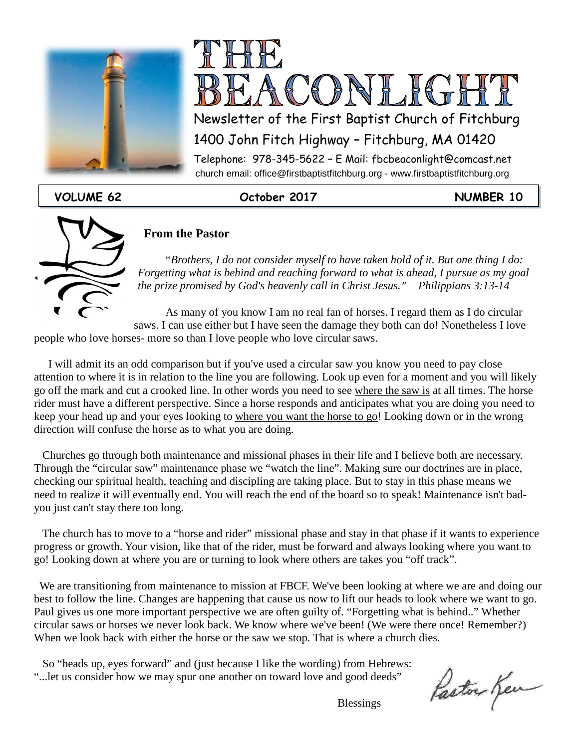



Newsletter of the First Baptist Church of Fitchburg

1400 John Fitch Highway – Fitchburg, MA 01420

 church email: office@firstbaptistfitchburg.org - www.firstbaptistfitchburg.org Telephone: 978-345-5622 – E Mail: fbcbeaconlight@comcast.net

#### **VOLUME 62 October 2017 NUMBER 10**



#### **From the Pastor**

*"Brothers, I do not consider myself to have taken hold of it. But one thing I do: Forgetting what is behind and reaching forward to what is ahead, I pursue as my goal the prize promised by God's heavenly call in Christ Jesus." Philippians 3:13-14*

 As many of you know I am no real fan of horses. I regard them as I do circular saws. I can use either but I have seen the damage they both can do! Nonetheless I love people who love horses- more so than I love people who love circular saws.

 I will admit its an odd comparison but if you've used a circular saw you know you need to pay close attention to where it is in relation to the line you are following. Look up even for a moment and you will likely go off the mark and cut a crooked line. In other words you need to see where the saw is at all times. The horse rider must have a different perspective. Since a horse responds and anticipates what you are doing you need to keep your head up and your eyes looking to where you want the horse to go! Looking down or in the wrong direction will confuse the horse as to what you are doing.

 Churches go through both maintenance and missional phases in their life and I believe both are necessary. Through the "circular saw" maintenance phase we "watch the line". Making sure our doctrines are in place, checking our spiritual health, teaching and discipling are taking place. But to stay in this phase means we need to realize it will eventually end. You will reach the end of the board so to speak! Maintenance isn't badyou just can't stay there too long.

 The church has to move to a "horse and rider" missional phase and stay in that phase if it wants to experience progress or growth. Your vision, like that of the rider, must be forward and always looking where you want to go! Looking down at where you are or turning to look where others are takes you "off track".

 We are transitioning from maintenance to mission at FBCF. We've been looking at where we are and doing our best to follow the line. Changes are happening that cause us now to lift our heads to look where we want to go. Paul gives us one more important perspective we are often guilty of. "Forgetting what is behind.." Whether circular saws or horses we never look back. We know where we've been! (We were there once! Remember?) When we look back with either the horse or the saw we stop. That is where a church dies.

 So "heads up, eyes forward" and (just because I like the wording) from Hebrews: "...let us consider how we may spur one another on toward love and good deeds"

Paston Ken

**Blessings**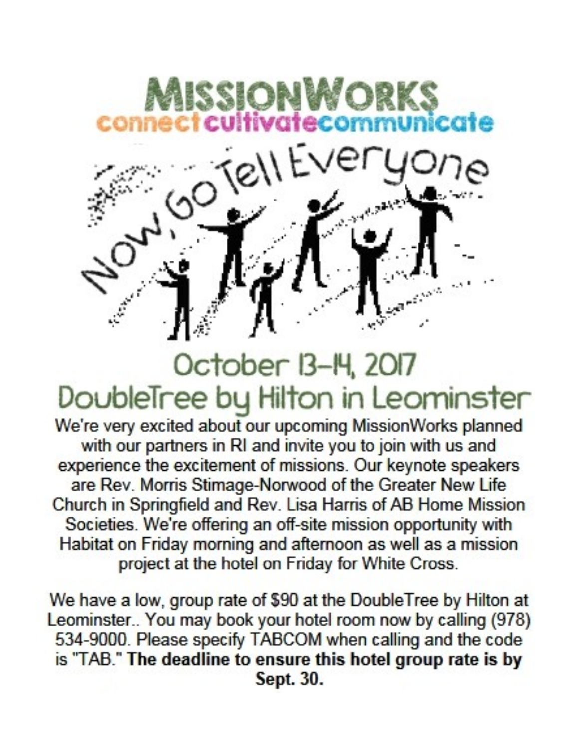

## October 13-14, 2017 DoubleTree by Hilton in Leominster

We're very excited about our upcoming MissionWorks planned with our partners in RI and invite you to join with us and experience the excitement of missions. Our keynote speakers are Rev. Morris Stimage-Norwood of the Greater New Life Church in Springfield and Rev. Lisa Harris of AB Home Mission Societies. We're offering an off-site mission opportunity with Habitat on Friday morning and afternoon as well as a mission project at the hotel on Friday for White Cross.

We have a low, group rate of \$90 at the DoubleTree by Hilton at Leominster.. You may book your hotel room now by calling (978) 534-9000. Please specify TABCOM when calling and the code is "TAB." The deadline to ensure this hotel group rate is by Sept. 30.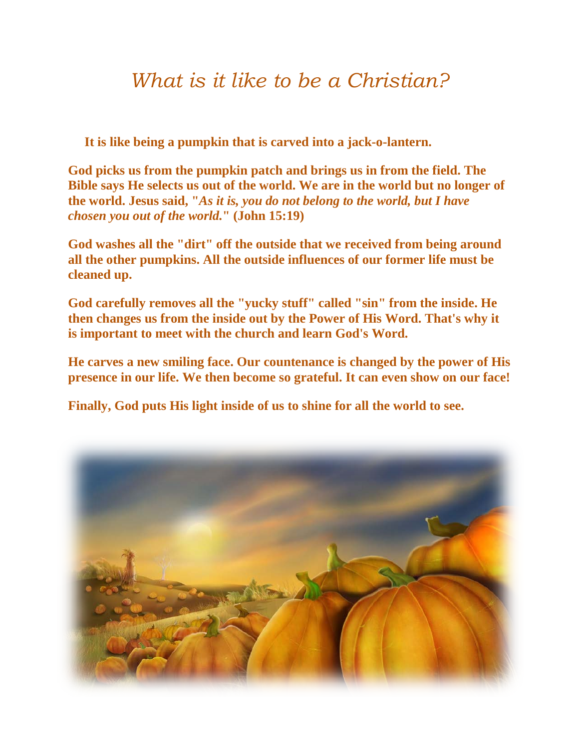### *What is it like to be a Christian?*

 **It is like being a pumpkin that is carved into a jack-o-lantern.** 

**God picks us from the pumpkin patch and brings us in from the field. The Bible says He selects us out of the world. We are in the world but no longer of the world. Jesus said, "***As it is, you do not belong to the world, but I have chosen you out of the world.***" (John 15:19)** 

**God washes all the "dirt" off the outside that we received from being around all the other pumpkins. All the outside influences of our former life must be cleaned up.** 

**God carefully removes all the "yucky stuff" called "sin" from the inside. He then changes us from the inside out by the Power of His Word. That's why it is important to meet with the church and learn God's Word.** 

**He carves a new smiling face. Our countenance is changed by the power of His presence in our life. We then become so grateful. It can even show on our face!** 

**Finally, God puts His light inside of us to shine for all the world to see.**

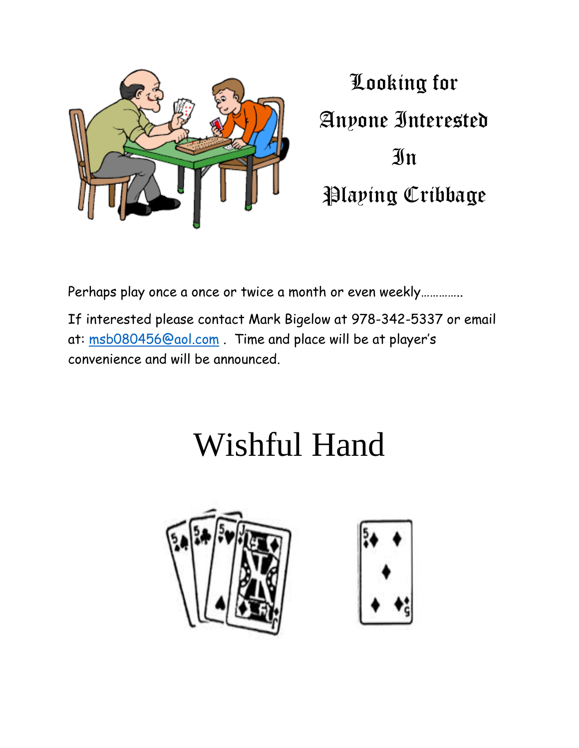

Looking for Anyone Interested **In** Playing Cribbage

Perhaps play once a once or twice a month or even weekly…………..

If interested please contact Mark Bigelow at 978-342-5337 or email at: [msb080456@aol.com](mailto:msb080456@aol.com) . Time and place will be at player's convenience and will be announced.

# Wishful Hand



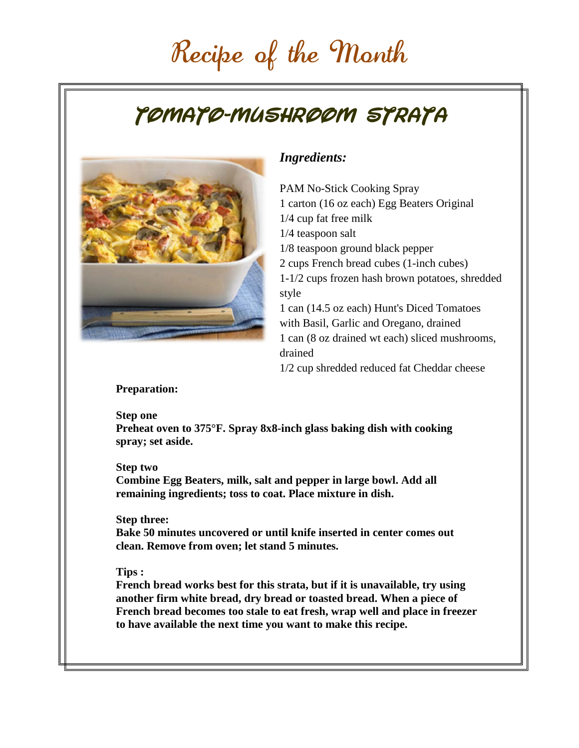## Recipe of the Month

## **Tomato-Mushroom Strata**



### *Ingredients:*

PAM No-Stick Cooking Spray 1 carton (16 oz each) Egg Beaters Original 1/4 cup fat free milk 1/4 teaspoon salt 1/8 teaspoon ground black pepper 2 cups French bread cubes (1-inch cubes) 1-1/2 cups frozen hash brown potatoes, shredded style 1 can (14.5 oz each) Hunt's Diced Tomatoes with Basil, Garlic and Oregano, drained 1 can (8 oz drained wt each) sliced mushrooms, drained 1/2 cup shredded reduced fat Cheddar cheese

#### **Preparation:**

#### **Step one**

**Preheat oven to 375°F. Spray 8x8-inch glass baking dish with cooking spray; set aside.**

#### **Step two**

**Combine Egg Beaters, milk, salt and pepper in large bowl. Add all remaining ingredients; toss to coat. Place mixture in dish.**

#### **Step three:**

**Bake 50 minutes uncovered or until knife inserted in center comes out clean. Remove from oven; let stand 5 minutes.**

#### **Tips :**

**French bread works best for this strata, but if it is unavailable, try using another firm white bread, dry bread or toasted bread. When a piece of French bread becomes too stale to eat fresh, wrap well and place in freezer to have available the next time you want to make this recipe.**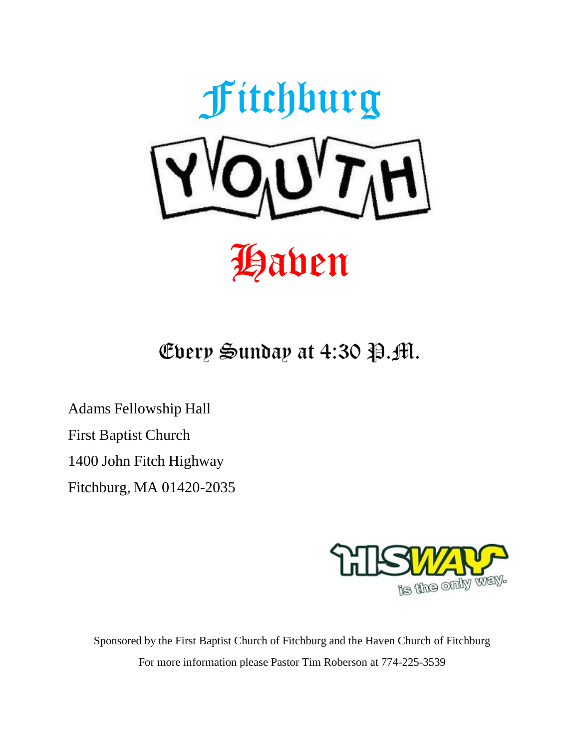

Every Sunday at  $4:30$  P.M.

Adams Fellowship Hall First Baptist Church 1400 John Fitch Highway Fitchburg, MA 01420-2035



Sponsored by the First Baptist Church of Fitchburg and the Haven Church of Fitchburg For more information please Pastor Tim Roberson at 774-225-3539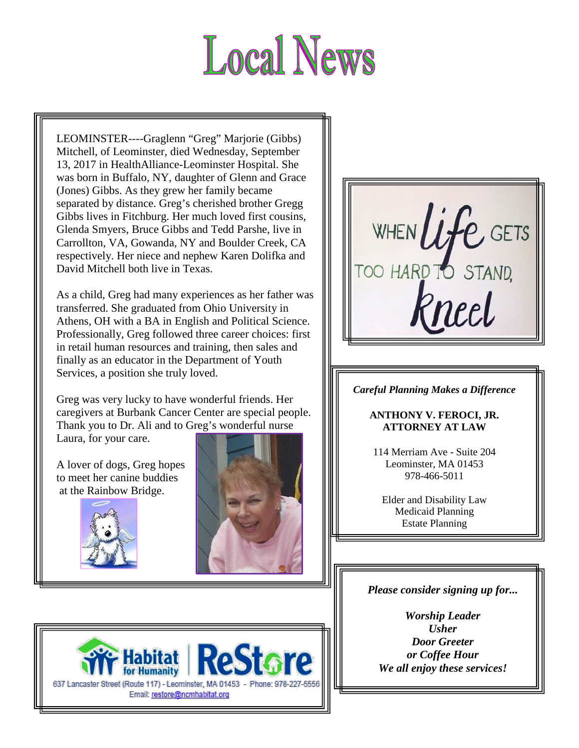# **Local News**

respectively. Her niece and nephew Karen Dolifka and<br>David Mitchell both live in Texas LEOMINSTER----Graglenn "Greg" Marjorie (Gibbs) Mitchell, of Leominster, died Wednesday, September 13, 2017 in HealthAlliance-Leominster Hospital. She was born in Buffalo, NY, daughter of Glenn and Grace (Jones) Gibbs. As they grew her family became separated by distance. Greg's cherished brother Gregg Gibbs lives in Fitchburg. Her much loved first cousins, Glenda Smyers, Bruce Gibbs and Tedd Parshe, live in Carrollton, VA, Gowanda, NY and Boulder Creek, CA David Mitchell both live in Texas.

As a child, Greg had many experiences as her father was transferred. She graduated from Ohio University in Athens, OH with a BA in English and Political Science. Professionally, Greg followed three career choices: first in retail human resources and training, then sales and finally as an educator in the Department of Youth Services, a position she truly loved.

Greg was very lucky to have wonderful friends. Her caregivers at Burbank Cancer Center are special people. Thank you to Dr. Ali and to Greg's wonderful nurse Laura, for your care.

A lover of dogs, Greg hopes to meet her canine buddies at the Rainbow Bridge.







#### *Careful Planning Makes a Difference*

#### **ANTHONY V. FEROCI, JR. ATTORNEY AT LAW**

114 Merriam Ave - Suite 204 Leominster, MA 01453 978-466-5011

Elder and Disability Law Medicaid Planning Estate Planning

#### *Please consider signing up for...*

*Worship Leader Usher Door Greeter or Coffee Hour We all enjoy these services!*

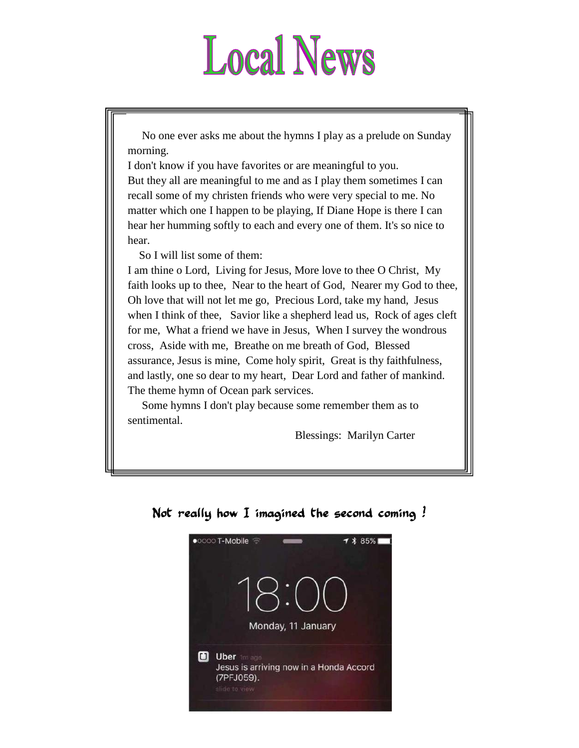# **Local News**

 No one ever asks me about the hymns I play as a prelude on Sunday morning.

I don't know if you have favorites or are meaningful to you. But they all are meaningful to me and as I play them sometimes I can recall some of my christen friends who were very special to me. No matter which one I happen to be playing, If Diane Hope is there I can hear her humming softly to each and every one of them. It's so nice to hear.

So I will list some of them:

I am thine o Lord, Living for Jesus, More love to thee O Christ, My faith looks up to thee, Near to the heart of God, Nearer my God to thee, Oh love that will not let me go, Precious Lord, take my hand, Jesus when I think of thee, Savior like a shepherd lead us, Rock of ages cleft for me, What a friend we have in Jesus, When I survey the wondrous cross, Aside with me, Breathe on me breath of God, Blessed assurance, Jesus is mine, Come holy spirit, Great is thy faithfulness, and lastly, one so dear to my heart, Dear Lord and father of mankind. The theme hymn of Ocean park services.

 Some hymns I don't play because some remember them as to sentimental.

Blessings: Marilyn Carter



#### Not really how I imagined the second coming !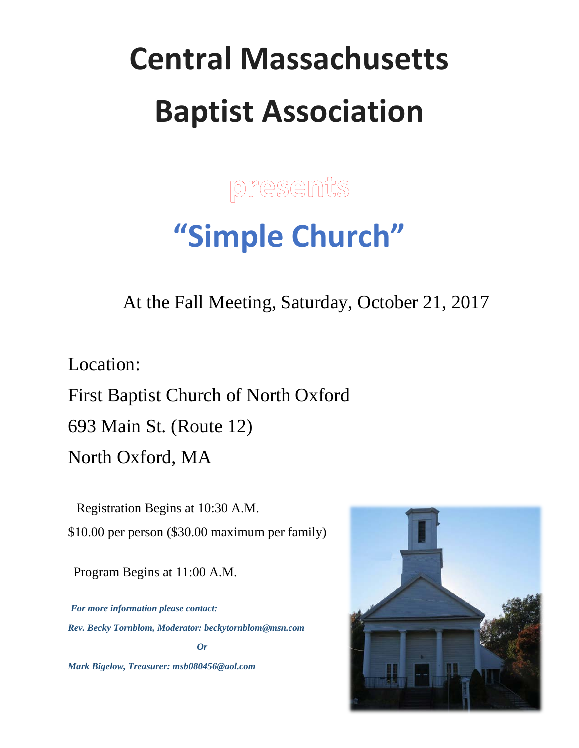# **Central Massachusetts Baptist Association**

**presents** 

# **"Simple Church"**

At the Fall Meeting, Saturday, October 21, 2017

Location:

First Baptist Church of North Oxford 693 Main St. (Route 12) North Oxford, MA

 Registration Begins at 10:30 A.M. \$10.00 per person (\$30.00 maximum per family)

Program Begins at 11:00 A.M.

 *For more information please contact: Rev. Becky Tornblom, Moderator: [beckytornblom@msn.com](mailto:beckytornblom@msn.com) Or*

*Mark Bigelow, Treasurer: msb080456@aol.com*

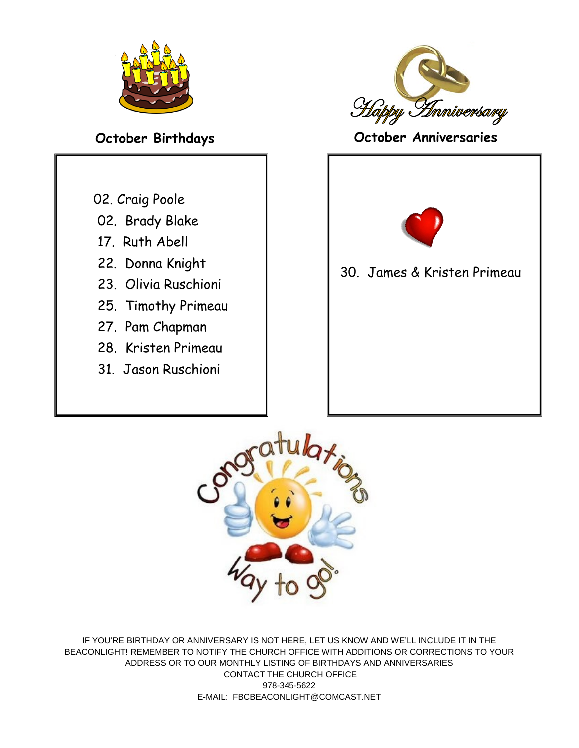

- 02. Craig Poole
- 02. Brady Blake
- 17. Ruth Abell
- 22. Donna Knight
- 23. Olivia Ruschioni
- 25. Timothy Primeau
- 27. Pam Chapman
- 28. Kristen Primeau
- 31. Jason Ruschioni



**October Birthdays October Anniversaries**



30. James & Kristen Primeau



IF YOU'RE BIRTHDAY OR ANNIVERSARY IS NOT HERE, LET US KNOW AND WE'LL INCLUDE IT IN THE BEACONLIGHT! REMEMBER TO NOTIFY THE CHURCH OFFICE WITH ADDITIONS OR CORRECTIONS TO YOUR ADDRESS OR TO OUR MONTHLY LISTING OF BIRTHDAYS AND ANNIVERSARIES CONTACT THE CHURCH OFFICE 978-345-5622 E-MAIL: FBCBEACONLIGHT@COMCAST.NET